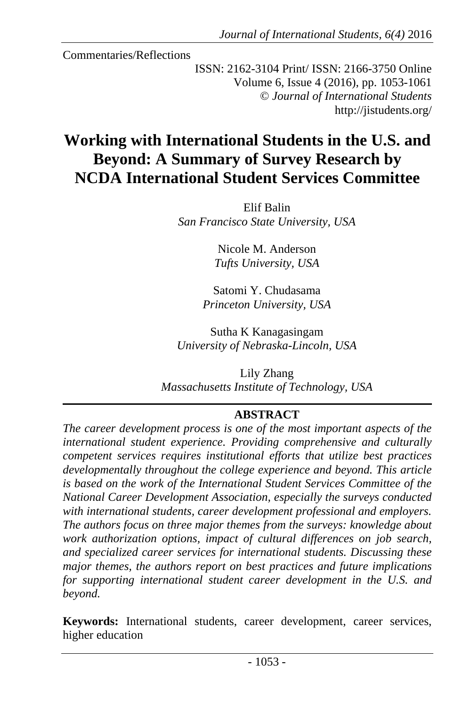Commentaries/Reflections

ISSN: 2162-3104 Print/ ISSN: 2166-3750 Online Volume 6, Issue 4 (2016), pp. 1053-1061 © *Journal of International Students* http://jistudents.org/

# **Working with International Students in the U.S. and Beyond: A Summary of Survey Research by NCDA International Student Services Committee**

Elif Balin *San Francisco State University, USA* 

> Nicole M. Anderson *Tufts University, USA*

Satomi Y. Chudasama *Princeton University, USA* 

Sutha K Kanagasingam *University of Nebraska-Lincoln, USA* 

Lily Zhang *Massachusetts Institute of Technology, USA* 

### **ABSTRACT**

*The career development process is one of the most important aspects of the international student experience. Providing comprehensive and culturally competent services requires institutional efforts that utilize best practices developmentally throughout the college experience and beyond. This article is based on the work of the International Student Services Committee of the National Career Development Association, especially the surveys conducted with international students, career development professional and employers. The authors focus on three major themes from the surveys: knowledge about work authorization options, impact of cultural differences on job search, and specialized career services for international students. Discussing these major themes, the authors report on best practices and future implications for supporting international student career development in the U.S. and beyond.* 

**Keywords:** International students, career development, career services, higher education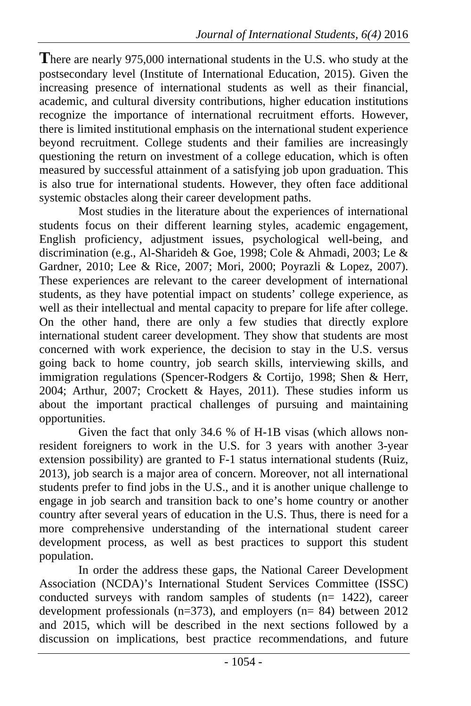**T**here are nearly 975,000 international students in the U.S. who study at the postsecondary level (Institute of International Education, 2015). Given the increasing presence of international students as well as their financial, academic, and cultural diversity contributions, higher education institutions recognize the importance of international recruitment efforts. However, there is limited institutional emphasis on the international student experience beyond recruitment. College students and their families are increasingly questioning the return on investment of a college education, which is often measured by successful attainment of a satisfying job upon graduation. This is also true for international students. However, they often face additional systemic obstacles along their career development paths.

Most studies in the literature about the experiences of international students focus on their different learning styles, academic engagement, English proficiency, adjustment issues, psychological well-being, and discrimination (e.g., Al-Sharideh & Goe, 1998; Cole & Ahmadi, 2003; Le & Gardner, 2010; Lee & Rice, 2007; Mori, 2000; Poyrazli & Lopez, 2007). These experiences are relevant to the career development of international students, as they have potential impact on students' college experience, as well as their intellectual and mental capacity to prepare for life after college. On the other hand, there are only a few studies that directly explore international student career development. They show that students are most concerned with work experience, the decision to stay in the U.S. versus going back to home country, job search skills, interviewing skills, and immigration regulations (Spencer-Rodgers & Cortijo, 1998; Shen & Herr, 2004; Arthur, 2007; Crockett & Hayes, 2011). These studies inform us about the important practical challenges of pursuing and maintaining opportunities.

Given the fact that only 34.6 % of H-1B visas (which allows nonresident foreigners to work in the U.S. for 3 years with another 3-year extension possibility) are granted to F-1 status international students (Ruiz, 2013), job search is a major area of concern. Moreover, not all international students prefer to find jobs in the U.S., and it is another unique challenge to engage in job search and transition back to one's home country or another country after several years of education in the U.S. Thus, there is need for a more comprehensive understanding of the international student career development process, as well as best practices to support this student population.

In order the address these gaps, the National Career Development Association (NCDA)'s International Student Services Committee (ISSC) conducted surveys with random samples of students (n= 1422), career development professionals (n=373), and employers (n= 84) between 2012 and 2015, which will be described in the next sections followed by a discussion on implications, best practice recommendations, and future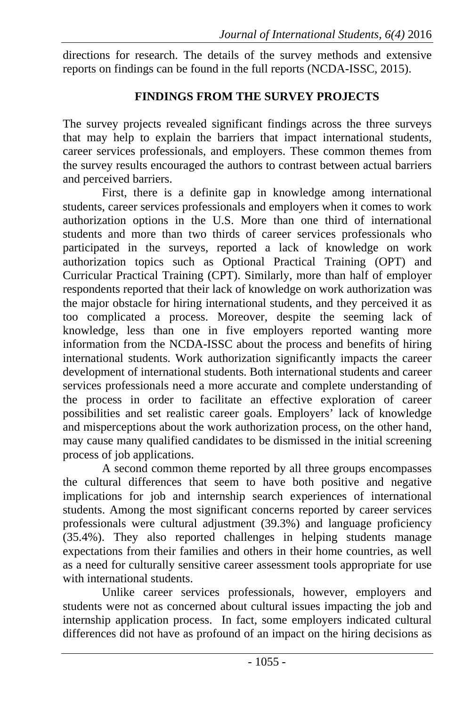directions for research. The details of the survey methods and extensive reports on findings can be found in the full reports (NCDA-ISSC, 2015).

## **FINDINGS FROM THE SURVEY PROJECTS**

The survey projects revealed significant findings across the three surveys that may help to explain the barriers that impact international students, career services professionals, and employers. These common themes from the survey results encouraged the authors to contrast between actual barriers and perceived barriers.

First, there is a definite gap in knowledge among international students, career services professionals and employers when it comes to work authorization options in the U.S. More than one third of international students and more than two thirds of career services professionals who participated in the surveys, reported a lack of knowledge on work authorization topics such as Optional Practical Training (OPT) and Curricular Practical Training (CPT). Similarly, more than half of employer respondents reported that their lack of knowledge on work authorization was the major obstacle for hiring international students, and they perceived it as too complicated a process. Moreover, despite the seeming lack of knowledge, less than one in five employers reported wanting more information from the NCDA-ISSC about the process and benefits of hiring international students. Work authorization significantly impacts the career development of international students. Both international students and career services professionals need a more accurate and complete understanding of the process in order to facilitate an effective exploration of career possibilities and set realistic career goals. Employers' lack of knowledge and misperceptions about the work authorization process, on the other hand, may cause many qualified candidates to be dismissed in the initial screening process of job applications.

A second common theme reported by all three groups encompasses the cultural differences that seem to have both positive and negative implications for job and internship search experiences of international students. Among the most significant concerns reported by career services professionals were cultural adjustment (39.3%) and language proficiency (35.4%). They also reported challenges in helping students manage expectations from their families and others in their home countries, as well as a need for culturally sensitive career assessment tools appropriate for use with international students.

Unlike career services professionals, however, employers and students were not as concerned about cultural issues impacting the job and internship application process. In fact, some employers indicated cultural differences did not have as profound of an impact on the hiring decisions as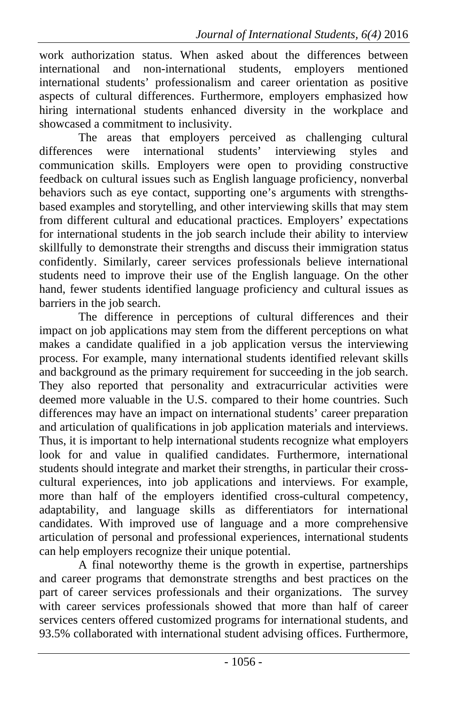work authorization status. When asked about the differences between international and non-international students, employers mentioned international students' professionalism and career orientation as positive aspects of cultural differences. Furthermore, employers emphasized how hiring international students enhanced diversity in the workplace and showcased a commitment to inclusivity.

The areas that employers perceived as challenging cultural differences were international students' interviewing styles and communication skills. Employers were open to providing constructive feedback on cultural issues such as English language proficiency, nonverbal behaviors such as eye contact, supporting one's arguments with strengthsbased examples and storytelling, and other interviewing skills that may stem from different cultural and educational practices. Employers' expectations for international students in the job search include their ability to interview skillfully to demonstrate their strengths and discuss their immigration status confidently. Similarly, career services professionals believe international students need to improve their use of the English language. On the other hand, fewer students identified language proficiency and cultural issues as barriers in the job search.

The difference in perceptions of cultural differences and their impact on job applications may stem from the different perceptions on what makes a candidate qualified in a job application versus the interviewing process. For example, many international students identified relevant skills and background as the primary requirement for succeeding in the job search. They also reported that personality and extracurricular activities were deemed more valuable in the U.S. compared to their home countries. Such differences may have an impact on international students' career preparation and articulation of qualifications in job application materials and interviews. Thus, it is important to help international students recognize what employers look for and value in qualified candidates. Furthermore, international students should integrate and market their strengths, in particular their crosscultural experiences, into job applications and interviews. For example, more than half of the employers identified cross-cultural competency, adaptability, and language skills as differentiators for international candidates. With improved use of language and a more comprehensive articulation of personal and professional experiences, international students can help employers recognize their unique potential.

A final noteworthy theme is the growth in expertise, partnerships and career programs that demonstrate strengths and best practices on the part of career services professionals and their organizations. The survey with career services professionals showed that more than half of career services centers offered customized programs for international students, and 93.5% collaborated with international student advising offices. Furthermore,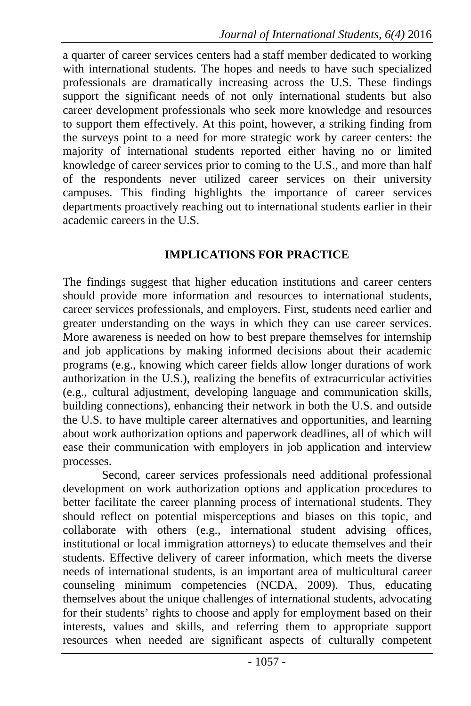a quarter of career services centers had a staff member dedicated to working with international students. The hopes and needs to have such specialized professionals are dramatically increasing across the U.S. These findings support the significant needs of not only international students but also career development professionals who seek more knowledge and resources to support them effectively. At this point, however, a striking finding from the surveys point to a need for more strategic work by career centers: the majority of international students reported either having no or limited knowledge of career services prior to coming to the U.S., and more than half of the respondents never utilized career services on their university campuses. This finding highlights the importance of career services departments proactively reaching out to international students earlier in their academic careers in the U.S.

### **IMPLICATIONS FOR PRACTICE**

The findings suggest that higher education institutions and career centers should provide more information and resources to international students, career services professionals, and employers. First, students need earlier and greater understanding on the ways in which they can use career services. More awareness is needed on how to best prepare themselves for internship and job applications by making informed decisions about their academic programs (e.g., knowing which career fields allow longer durations of work authorization in the U.S.), realizing the benefits of extracurricular activities (e.g., cultural adjustment, developing language and communication skills, building connections), enhancing their network in both the U.S. and outside the U.S. to have multiple career alternatives and opportunities, and learning about work authorization options and paperwork deadlines, all of which will ease their communication with employers in job application and interview processes.

Second, career services professionals need additional professional development on work authorization options and application procedures to better facilitate the career planning process of international students. They should reflect on potential misperceptions and biases on this topic, and collaborate with others (e.g., international student advising offices, institutional or local immigration attorneys) to educate themselves and their students. Effective delivery of career information, which meets the diverse needs of international students, is an important area of multicultural career counseling minimum competencies (NCDA, 2009). Thus, educating themselves about the unique challenges of international students, advocating for their students' rights to choose and apply for employment based on their interests, values and skills, and referring them to appropriate support resources when needed are significant aspects of culturally competent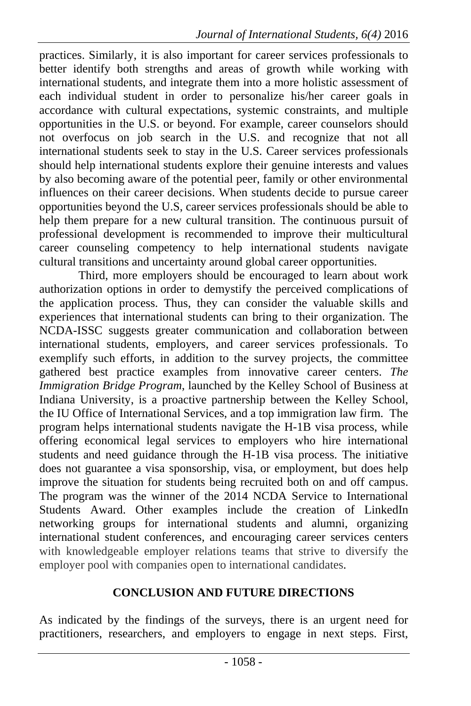practices. Similarly, it is also important for career services professionals to better identify both strengths and areas of growth while working with international students, and integrate them into a more holistic assessment of each individual student in order to personalize his/her career goals in accordance with cultural expectations, systemic constraints, and multiple opportunities in the U.S. or beyond. For example, career counselors should not overfocus on job search in the U.S. and recognize that not all international students seek to stay in the U.S. Career services professionals should help international students explore their genuine interests and values by also becoming aware of the potential peer, family or other environmental influences on their career decisions. When students decide to pursue career opportunities beyond the U.S, career services professionals should be able to help them prepare for a new cultural transition. The continuous pursuit of professional development is recommended to improve their multicultural career counseling competency to help international students navigate cultural transitions and uncertainty around global career opportunities.

Third, more employers should be encouraged to learn about work authorization options in order to demystify the perceived complications of the application process. Thus, they can consider the valuable skills and experiences that international students can bring to their organization. The NCDA-ISSC suggests greater communication and collaboration between international students, employers, and career services professionals. To exemplify such efforts, in addition to the survey projects, the committee gathered best practice examples from innovative career centers. *The Immigration Bridge Program*, launched by the Kelley School of Business at Indiana University, is a proactive partnership between the Kelley School, the IU Office of International Services, and a top immigration law firm. The program helps international students navigate the H-1B visa process, while offering economical legal services to employers who hire international students and need guidance through the H-1B visa process. The initiative does not guarantee a visa sponsorship, visa, or employment, but does help improve the situation for students being recruited both on and off campus. The program was the winner of the 2014 NCDA Service to International Students Award. Other examples include the creation of LinkedIn networking groups for international students and alumni, organizing international student conferences, and encouraging career services centers with knowledgeable employer relations teams that strive to diversify the employer pool with companies open to international candidates.

## **CONCLUSION AND FUTURE DIRECTIONS**

As indicated by the findings of the surveys, there is an urgent need for practitioners, researchers, and employers to engage in next steps. First,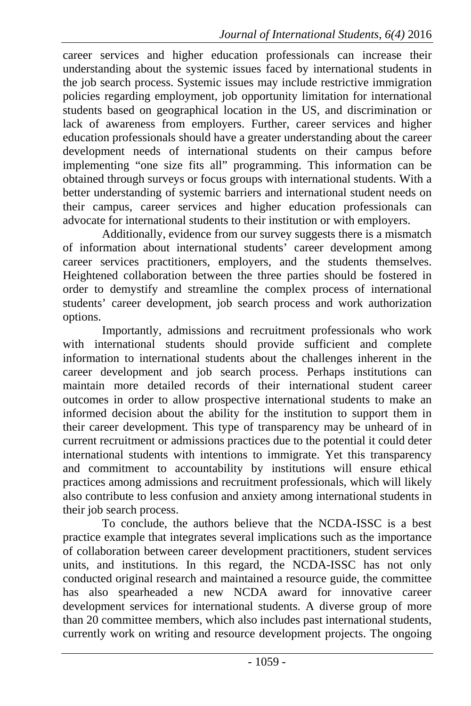career services and higher education professionals can increase their understanding about the systemic issues faced by international students in the job search process. Systemic issues may include restrictive immigration policies regarding employment, job opportunity limitation for international students based on geographical location in the US, and discrimination or lack of awareness from employers. Further, career services and higher education professionals should have a greater understanding about the career development needs of international students on their campus before implementing "one size fits all" programming. This information can be obtained through surveys or focus groups with international students. With a better understanding of systemic barriers and international student needs on their campus, career services and higher education professionals can advocate for international students to their institution or with employers.

Additionally, evidence from our survey suggests there is a mismatch of information about international students' career development among career services practitioners, employers, and the students themselves. Heightened collaboration between the three parties should be fostered in order to demystify and streamline the complex process of international students' career development, job search process and work authorization options.

Importantly, admissions and recruitment professionals who work with international students should provide sufficient and complete information to international students about the challenges inherent in the career development and job search process. Perhaps institutions can maintain more detailed records of their international student career outcomes in order to allow prospective international students to make an informed decision about the ability for the institution to support them in their career development. This type of transparency may be unheard of in current recruitment or admissions practices due to the potential it could deter international students with intentions to immigrate. Yet this transparency and commitment to accountability by institutions will ensure ethical practices among admissions and recruitment professionals, which will likely also contribute to less confusion and anxiety among international students in their job search process.

To conclude, the authors believe that the NCDA-ISSC is a best practice example that integrates several implications such as the importance of collaboration between career development practitioners, student services units, and institutions. In this regard, the NCDA-ISSC has not only conducted original research and maintained a resource guide, the committee has also spearheaded a new NCDA award for innovative career development services for international students. A diverse group of more than 20 committee members, which also includes past international students, currently work on writing and resource development projects. The ongoing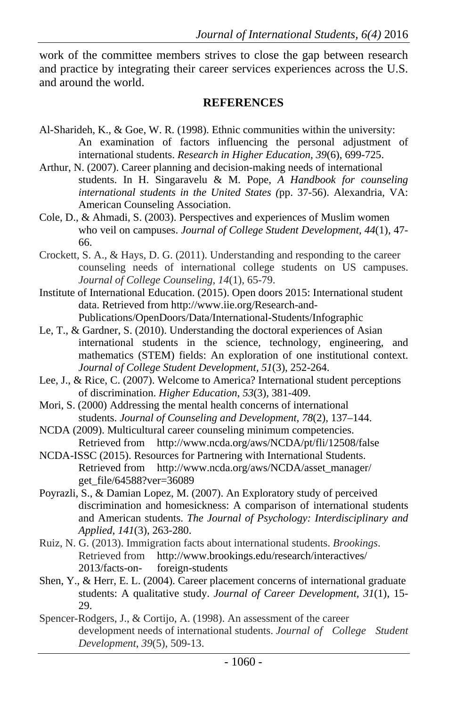work of the committee members strives to close the gap between research and practice by integrating their career services experiences across the U.S. and around the world.

#### **REFERENCES**

- Al-Sharideh, K., & Goe, W. R. (1998). Ethnic communities within the university: An examination of factors influencing the personal adjustment of international students. *Research in Higher Education*, *39*(6), 699-725.
- Arthur, N. (2007). Career planning and decision-making needs of international students. In H. Singaravelu & M. Pope, *A Handbook for counseling international students in the United States (*pp. 37-56). Alexandria, VA: American Counseling Association.
- Cole, D., & Ahmadi, S. (2003). Perspectives and experiences of Muslim women who veil on campuses. *Journal of College Student Development*, *44*(1), 47- 66.
- Crockett, S. A., & Hays, D. G. (2011). Understanding and responding to the career counseling needs of international college students on US campuses. *Journal of College Counseling*, *14*(1), 65-79.
- Institute of International Education. (2015). Open doors 2015: International student data. Retrieved from http://www.iie.org/Research-and-Publications/OpenDoors/Data/International-Students/Infographic
- Le, T., & Gardner, S. (2010). Understanding the doctoral experiences of Asian international students in the science, technology, engineering, and mathematics (STEM) fields: An exploration of one institutional context. *Journal of College Student Development, 51*(3), 252-264.
- Lee, J., & Rice, C. (2007). Welcome to America? International student perceptions of discrimination. *Higher Education*, *53*(3), 381-409.
- Mori, S. (2000) Addressing the mental health concerns of international students. *Journal of Counseling and Development*, *78*(2), 137–144.
- NCDA (2009). Multicultural career counseling minimum competencies. Retrieved from http://www.ncda.org/aws/NCDA/pt/fli/12508/false
- NCDA-ISSC (2015). Resources for Partnering with International Students. Retrieved from http://www.ncda.org/aws/NCDA/asset\_manager/ get\_file/64588?ver=36089
- Poyrazli, S., & Damian Lopez, M. (2007). An Exploratory study of perceived discrimination and homesickness: A comparison of international students and American students. *The Journal of Psychology: Interdisciplinary and Applied*, *141*(3), 263-280.
- Ruiz, N. G. (2013). Immigration facts about international students. *Brookings*. Retrieved from http://www.brookings.edu/research/interactives/ 2013/facts-on- foreign-students
- Shen, Y., & Herr, E. L. (2004). Career placement concerns of international graduate students: A qualitative study. *Journal of Career Development, 31*(1), 15- 29.
- Spencer-Rodgers, J., & Cortijo, A. (1998). An assessment of the career development needs of international students. *Journal of College Student Development*, *39*(5), 509-13.